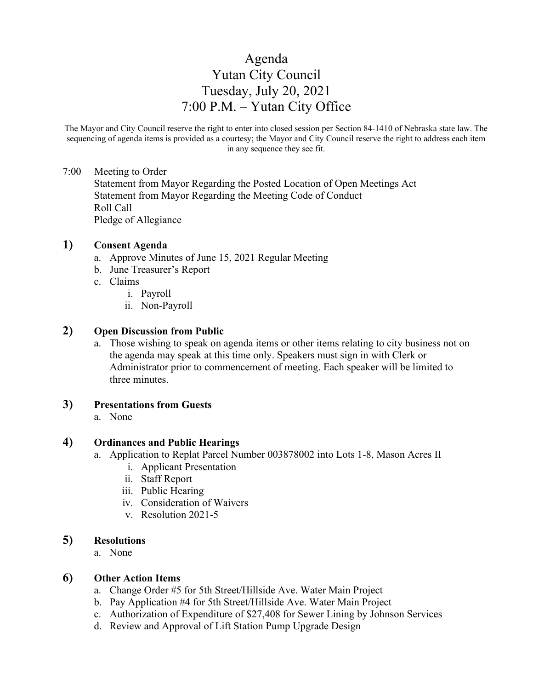# Agenda Yutan City Council Tuesday, July 20, 2021 7:00 P.M. – Yutan City Office

The Mayor and City Council reserve the right to enter into closed session per Section 84-1410 of Nebraska state law. The sequencing of agenda items is provided as a courtesy; the Mayor and City Council reserve the right to address each item in any sequence they see fit.

# 7:00 Meeting to Order

Statement from Mayor Regarding the Posted Location of Open Meetings Act Statement from Mayor Regarding the Meeting Code of Conduct Roll Call Pledge of Allegiance

## **1) Consent Agenda**

- a. Approve Minutes of June 15, 2021 Regular Meeting
- b. June Treasurer's Report
- c. Claims
	- i. Payroll
	- ii. Non-Payroll

# **2) Open Discussion from Public**

a. Those wishing to speak on agenda items or other items relating to city business not on the agenda may speak at this time only. Speakers must sign in with Clerk or Administrator prior to commencement of meeting. Each speaker will be limited to three minutes.

# **3) Presentations from Guests**

a. None

# **4) Ordinances and Public Hearings**

- a. Application to Replat Parcel Number 003878002 into Lots 1-8, Mason Acres II
	- i. Applicant Presentation
	- ii. Staff Report
	- iii. Public Hearing
	- iv. Consideration of Waivers
	- v. Resolution 2021-5

#### **5) Resolutions**

a. None

#### **6) Other Action Items**

- a. Change Order #5 for 5th Street/Hillside Ave. Water Main Project
- b. Pay Application #4 for 5th Street/Hillside Ave. Water Main Project
- c. Authorization of Expenditure of \$27,408 for Sewer Lining by Johnson Services
- d. Review and Approval of Lift Station Pump Upgrade Design